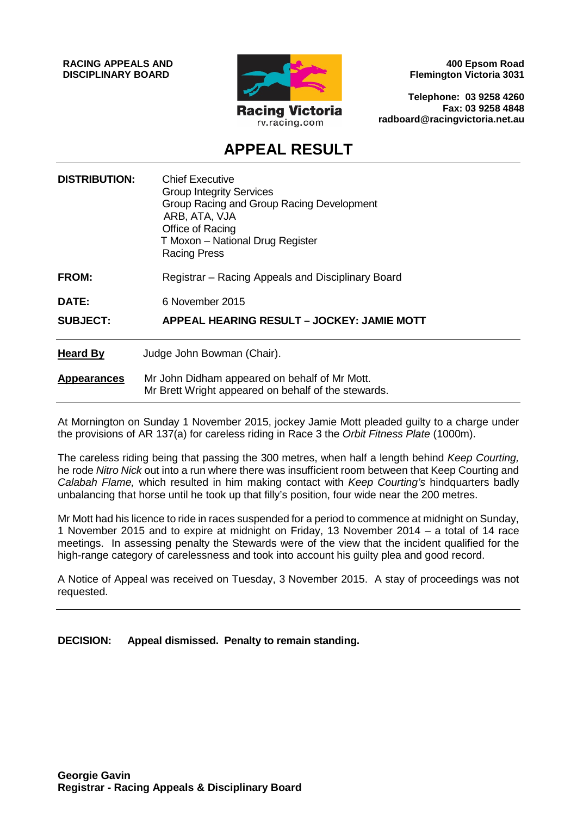**RACING APPEALS AND DISCIPLINARY BOARD**



**400 Epsom Road Flemington Victoria 3031**

**Telephone: 03 9258 4260 Fax: 03 9258 4848 radboard@racingvictoria.net.au**

# **APPEAL RESULT**

| <b>DISTRIBUTION:</b> | <b>Chief Executive</b><br><b>Group Integrity Services</b><br>Group Racing and Group Racing Development<br>ARB, ATA, VJA<br>Office of Racing<br>T Moxon - National Drug Register<br><b>Racing Press</b> |
|----------------------|--------------------------------------------------------------------------------------------------------------------------------------------------------------------------------------------------------|
| <b>FROM:</b>         | Registrar - Racing Appeals and Disciplinary Board                                                                                                                                                      |
| DATE:                | 6 November 2015                                                                                                                                                                                        |
| <b>SUBJECT:</b>      | APPEAL HEARING RESULT - JOCKEY: JAMIE MOTT                                                                                                                                                             |
| <b>Heard By</b>      | Judge John Bowman (Chair).                                                                                                                                                                             |
| <b>Appearances</b>   | Mr John Didham appeared on behalf of Mr Mott.<br>Mr Brett Wright appeared on behalf of the stewards.                                                                                                   |

At Mornington on Sunday 1 November 2015, jockey Jamie Mott pleaded guilty to a charge under the provisions of AR 137(a) for careless riding in Race 3 the *Orbit Fitness Plate* (1000m).

The careless riding being that passing the 300 metres, when half a length behind *Keep Courting,* he rode *Nitro Nick* out into a run where there was insufficient room between that Keep Courting and *Calabah Flame,* which resulted in him making contact with *Keep Courting's* hindquarters badly unbalancing that horse until he took up that filly's position, four wide near the 200 metres.

Mr Mott had his licence to ride in races suspended for a period to commence at midnight on Sunday, 1 November 2015 and to expire at midnight on Friday, 13 November 2014 – a total of 14 race meetings. In assessing penalty the Stewards were of the view that the incident qualified for the high-range category of carelessness and took into account his guilty plea and good record.

A Notice of Appeal was received on Tuesday, 3 November 2015. A stay of proceedings was not requested.

**DECISION: Appeal dismissed. Penalty to remain standing.**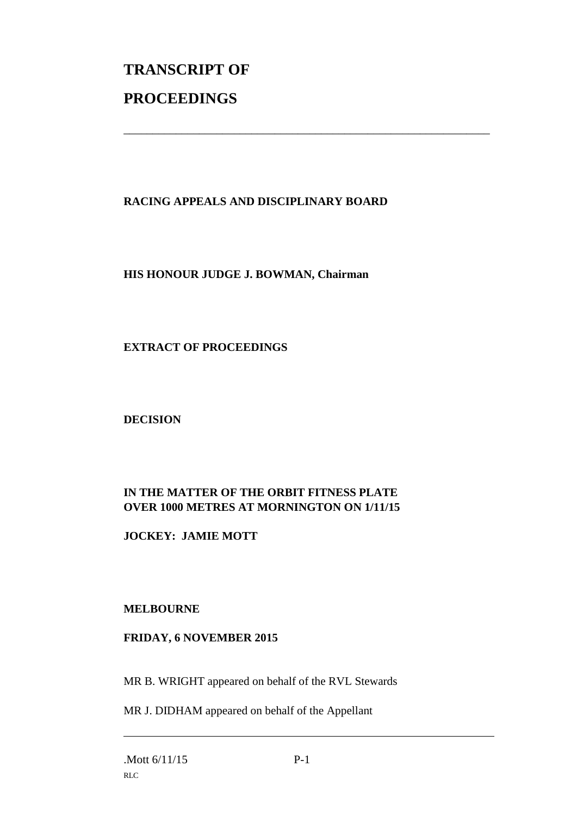# **TRANSCRIPT OF PROCEEDINGS**

## **RACING APPEALS AND DISCIPLINARY BOARD**

\_\_\_\_\_\_\_\_\_\_\_\_\_\_\_\_\_\_\_\_\_\_\_\_\_\_\_\_\_\_\_\_\_\_\_\_\_\_\_\_\_\_\_\_\_\_\_\_\_\_\_\_\_\_\_\_\_\_\_\_\_\_\_

#### **HIS HONOUR JUDGE J. BOWMAN, Chairman**

#### **EXTRACT OF PROCEEDINGS**

**DECISION**

### **IN THE MATTER OF THE ORBIT FITNESS PLATE OVER 1000 METRES AT MORNINGTON ON 1/11/15**

**JOCKEY: JAMIE MOTT**

#### **MELBOURNE**

#### **FRIDAY, 6 NOVEMBER 2015**

MR B. WRIGHT appeared on behalf of the RVL Stewards

MR J. DIDHAM appeared on behalf of the Appellant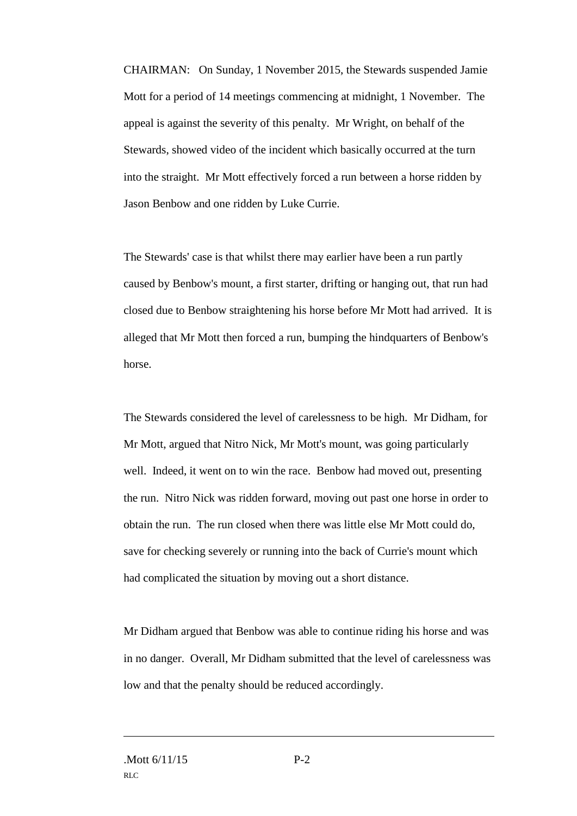CHAIRMAN: On Sunday, 1 November 2015, the Stewards suspended Jamie Mott for a period of 14 meetings commencing at midnight, 1 November. The appeal is against the severity of this penalty. Mr Wright, on behalf of the Stewards, showed video of the incident which basically occurred at the turn into the straight. Mr Mott effectively forced a run between a horse ridden by Jason Benbow and one ridden by Luke Currie.

The Stewards' case is that whilst there may earlier have been a run partly caused by Benbow's mount, a first starter, drifting or hanging out, that run had closed due to Benbow straightening his horse before Mr Mott had arrived. It is alleged that Mr Mott then forced a run, bumping the hindquarters of Benbow's horse.

The Stewards considered the level of carelessness to be high. Mr Didham, for Mr Mott, argued that Nitro Nick, Mr Mott's mount, was going particularly well. Indeed, it went on to win the race. Benbow had moved out, presenting the run. Nitro Nick was ridden forward, moving out past one horse in order to obtain the run. The run closed when there was little else Mr Mott could do, save for checking severely or running into the back of Currie's mount which had complicated the situation by moving out a short distance.

Mr Didham argued that Benbow was able to continue riding his horse and was in no danger. Overall, Mr Didham submitted that the level of carelessness was low and that the penalty should be reduced accordingly.